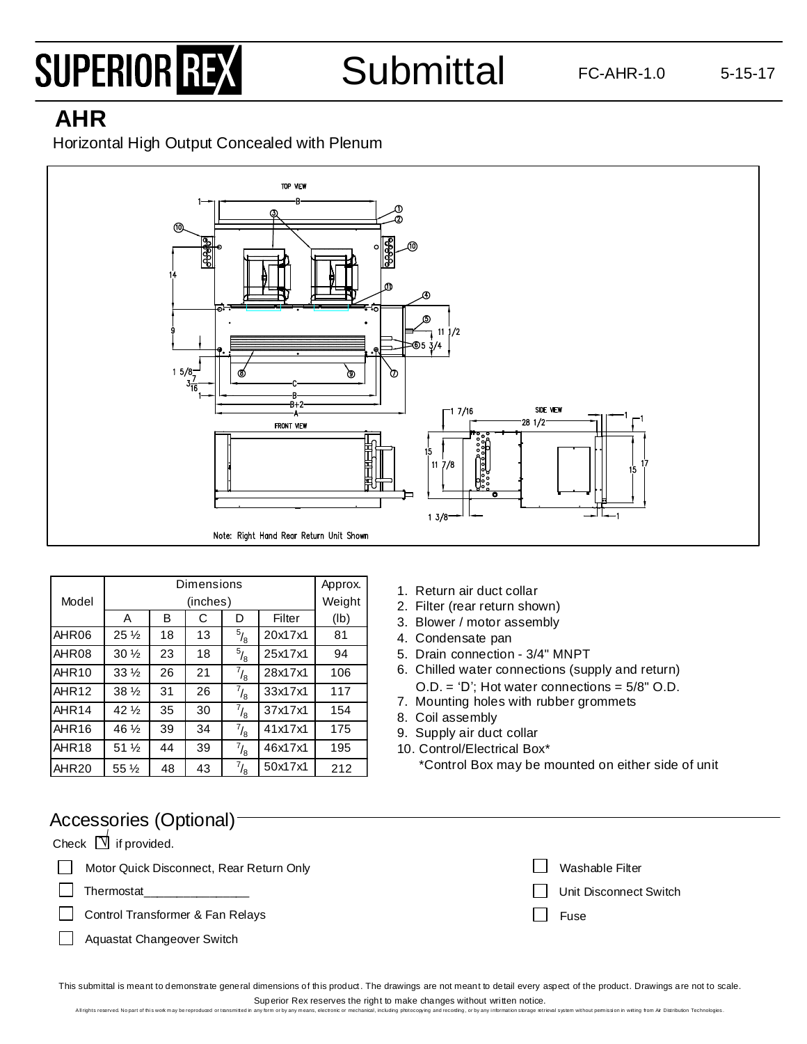# SUPERIOR REX

**Submittal** 

## **AHR**

Horizontal High Output Concealed with Plenum



| Dimensions        |                            |    |          |                |         | Approx. |
|-------------------|----------------------------|----|----------|----------------|---------|---------|
| Model             |                            |    | (inches) |                |         | Weight  |
|                   | A                          | B  | С        | D              | Filter  | (lb)    |
| AHR06             | $25\frac{1}{2}$            | 18 | 13       | $^{5}/_{8}$    | 20x17x1 | 81      |
| AHR08             | $30\frac{1}{2}$            | 23 | 18       | $\sqrt[5]{_8}$ | 25x17x1 | 94      |
| AHR <sub>10</sub> | $33\%$                     | 26 | 21       | $^{7}/_{8}$    | 28x17x1 | 106     |
| AHR <sub>12</sub> | $38\%$                     | 31 | 26       | $^{7}/_{8}$    | 33x17x1 | 117     |
| AHR <sub>14</sub> | $42\frac{1}{2}$            | 35 | 30       | $^{7}/_{8}$    | 37x17x1 | 154     |
| AHR <sub>16</sub> | 46 1/2                     | 39 | 34       | $^{7}/_{8}$    | 41x17x1 | 175     |
| AHR <sub>18</sub> | $51\%$                     | 44 | 39       | $^{7}/_{8}$    | 46x17x1 | 195     |
| AHR <sub>20</sub> | $55\,\frac{\cancel{1}}{2}$ | 48 | 43       | $^{7}/_{8}$    | 50x17x1 | 212     |

- 1. Return air duct collar
- 2. Filter (rear return shown)
- 3. Blower / motor assembly
- 4. Condensate pan
- 5. Drain connection 3/4" MNPT
- 6. Chilled water connections (supply and return) O.D. = 'D'; Hot water connections = 5/8" O.D.
- 7. Mounting holes with rubber grommets
- 8. Coil assembly
- 9. Supply air duct collar
- 10. Control/Electrical Box\*

\*Control Box may be mounted on either side of unit

| Accessories (Optional)-                  |                        |  |  |  |  |  |  |
|------------------------------------------|------------------------|--|--|--|--|--|--|
| Check $\Box$ if provided.                |                        |  |  |  |  |  |  |
| Motor Quick Disconnect, Rear Return Only | Washable Filter        |  |  |  |  |  |  |
| Thermostat                               | Unit Disconnect Switch |  |  |  |  |  |  |
| Control Transformer & Fan Relays         | Fuse                   |  |  |  |  |  |  |
| Aquastat Changeover Switch               |                        |  |  |  |  |  |  |
|                                          |                        |  |  |  |  |  |  |

This submittal is meant to demonstrate general dimensions of this product. The drawings are not meant to detail every aspect of the product. Drawings are not to scale. Superior Rex reserves the right to make changes without written notice.

All rights reserved. No part of this work may be reproduced or transmitted in any form or by any means, electronic or mechanical, including protocopying and recording, or by any information storage retrieval system without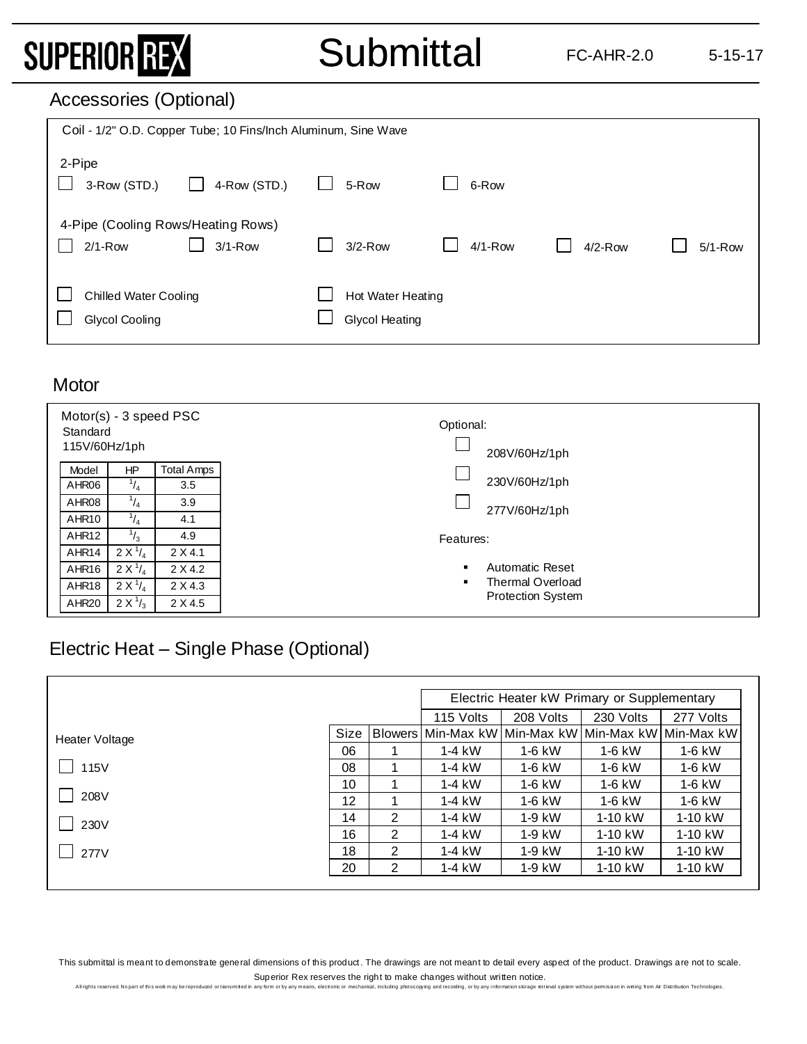# SUPERIOR REX

# **Submittal**

### Accessories (Optional)

| Coil - 1/2" O.D. Copper Tube; 10 Fins/Inch Aluminum, Sine Wave |                              |              |                                            |           |           |             |  |  |
|----------------------------------------------------------------|------------------------------|--------------|--------------------------------------------|-----------|-----------|-------------|--|--|
| 2-Pipe<br>3-Row (STD.)                                         | 4-Row (STD.)<br>$\mathbf{I}$ | $\mathbf{1}$ | 5-Row                                      | 6-Row     |           |             |  |  |
| 4-Pipe (Cooling Rows/Heating Rows)<br>$2/1-Row$                | $3/1 - Row$                  |              | $3/2-Row$                                  | $4/1-Row$ | $4/2-Row$ | $5/1 - Row$ |  |  |
| <b>Chilled Water Cooling</b><br>Glycol Cooling                 |                              |              | Hot Water Heating<br><b>Glycol Heating</b> |           |           |             |  |  |

#### **Motor**

| Motor(s) - 3 speed PSC<br>Standard<br>115V/60Hz/1ph |             |                   | Optional:<br>208V/60Hz/1ph |
|-----------------------------------------------------|-------------|-------------------|----------------------------|
| Model                                               | HP.         | <b>Total Amps</b> |                            |
| AHR06                                               | $^{1}/_{4}$ | 3.5               | 230V/60Hz/1ph              |
| AHR08                                               | $^{1}/_{4}$ | 3.9               | 277V/60Hz/1ph              |
| AHR <sub>10</sub>                                   | $^{1}/_{4}$ | 4.1               |                            |
| AHR <sub>12</sub>                                   | $^{1}/_{3}$ | 4.9               | Features:                  |
| AHR14                                               | $2 X^{1/4}$ | 2 X 4.1           |                            |
| AHR <sub>16</sub>                                   | $2 X^{1/4}$ | 2 X 4.2           | <b>Automatic Reset</b>     |
| AHR <sub>18</sub>                                   | $2 X^{1/4}$ | 2 X 4.3           | <b>Thermal Overload</b>    |
| AHR <sub>20</sub>                                   | $2 X^{1/3}$ | 2 X 4.5           | <b>Protection System</b>   |

### Electric Heat – Single Phase (Optional)

|                |      |                | Electric Heater kW Primary or Supplementary |           |                       |           |
|----------------|------|----------------|---------------------------------------------|-----------|-----------------------|-----------|
|                |      |                | 115 Volts                                   | 208 Volts | 230 Volts             | 277 Volts |
| Heater Voltage | Size |                | Blowers Min-Max kW Min-Max kW               |           | Min-Max kW Min-Max kW |           |
|                | 06   |                | $1-4$ kW                                    | $1-6$ kW  | $1-6$ kW              | $1-6$ kW  |
| 115V           | 08   |                | $1-4$ kW                                    | $1-6$ kW  | 1-6 kW                | $1-6$ kW  |
|                | 10   |                | $1-4$ kW                                    | $1-6$ kW  | $1-6$ kW              | 1-6 kW    |
| 208V           | 12   |                | $1-4$ kW                                    | $1-6$ kW  | $1-6$ kW              | 1-6 kW    |
| 230V           | 14   | 2              | $1-4$ kW                                    | $1-9$ kW  | $1-10$ kW             | 1-10 kW   |
|                | 16   | 2              | $1-4$ kW                                    | $1-9$ kW  | 1-10 kW               | 1-10 kW   |
| 277V           | 18   | $\overline{2}$ | $1-4$ kW                                    | $1-9$ kW  | 1-10 kW               | 1-10 kW   |
|                | 20   | 2              | $1-4$ kW                                    | 1-9 kW    | 1-10 kW               | 1-10 kW   |

This submittal is meant to demonstrate general dimensions of this product. The drawings are not meant to detail every aspect of the product. Drawings are not to scale. Superior Rex reserves the right to make changes without written notice.<br>any form or by any means, electronic or mechanical, including orbitocopying and recording, or by any information storage metri

Allrights reserved. No part of this wok may be reproduced or tansmitted in any form or by any means, electronic or mechanical, including protocopying and recording, or by any information storage retrieval system without pe